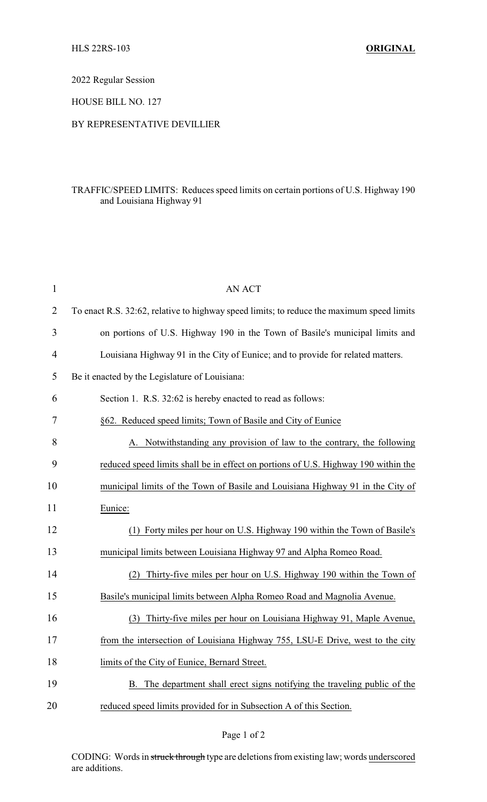2022 Regular Session

HOUSE BILL NO. 127

## BY REPRESENTATIVE DEVILLIER

## TRAFFIC/SPEED LIMITS: Reduces speed limits on certain portions of U.S. Highway 190 and Louisiana Highway 91

| 1              | <b>AN ACT</b>                                                                             |
|----------------|-------------------------------------------------------------------------------------------|
| $\overline{2}$ | To enact R.S. 32:62, relative to highway speed limits; to reduce the maximum speed limits |
| 3              | on portions of U.S. Highway 190 in the Town of Basile's municipal limits and              |
| 4              | Louisiana Highway 91 in the City of Eunice; and to provide for related matters.           |
| 5              | Be it enacted by the Legislature of Louisiana:                                            |
| 6              | Section 1. R.S. 32:62 is hereby enacted to read as follows:                               |
| 7              | §62. Reduced speed limits; Town of Basile and City of Eunice                              |
| 8              | Notwithstanding any provision of law to the contrary, the following                       |
| 9              | reduced speed limits shall be in effect on portions of U.S. Highway 190 within the        |
| 10             | municipal limits of the Town of Basile and Louisiana Highway 91 in the City of            |
| 11             | Eunice:                                                                                   |
| 12             | (1) Forty miles per hour on U.S. Highway 190 within the Town of Basile's                  |
| 13             | municipal limits between Louisiana Highway 97 and Alpha Romeo Road.                       |
| 14             | Thirty-five miles per hour on U.S. Highway 190 within the Town of<br>(2)                  |
| 15             | Basile's municipal limits between Alpha Romeo Road and Magnolia Avenue.                   |
| 16             | Thirty-five miles per hour on Louisiana Highway 91, Maple Avenue,<br>(3)                  |
| 17             | from the intersection of Louisiana Highway 755, LSU-E Drive, west to the city             |
| 18             | limits of the City of Eunice, Bernard Street.                                             |
| 19             | B. The department shall erect signs notifying the traveling public of the                 |
| 20             | reduced speed limits provided for in Subsection A of this Section.                        |

CODING: Words in struck through type are deletions from existing law; words underscored are additions.